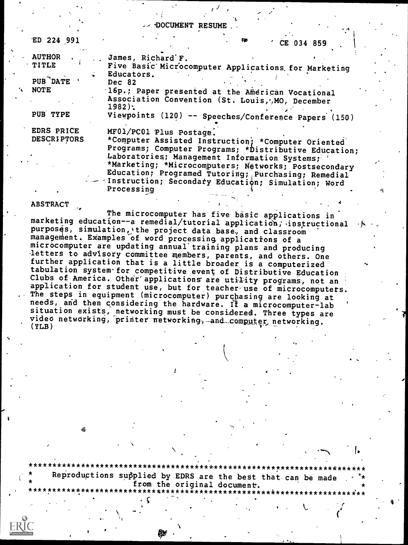DOCUMENT RESUME

| ED 224 991                                                      | <b>CO</b><br>CE 034 859                                                                                                                                                                                                                                                                                 |
|-----------------------------------------------------------------|---------------------------------------------------------------------------------------------------------------------------------------------------------------------------------------------------------------------------------------------------------------------------------------------------------|
| <b>AUTHOR</b><br><b>TITLE</b><br><b>PUB</b> DATE<br><b>NOTE</b> | James, Richard F.<br>Five Basic Microcomputer Applications for Marketing<br>Educators.<br>Dec 82<br>16p.; Paper presented at the American Vocational                                                                                                                                                    |
| PUB TYPE                                                        | Association Convention (St. Louis, AO, December<br>$1982$ :<br>Viewpoints (120) -- Speeches/Conference Papers (150)                                                                                                                                                                                     |
| EDRS PRICE<br><b>DESCRIPTORS</b>                                | MF01/PC01 Plus Postage.<br>*Computer Assisted Instruction; *Computer Oriented<br>Programs; Computer Programs; * Distributive Education;<br>Laboratories; Management Information Systems;<br>*Marketing; *Microcomputers; Networks; Postsecondary<br>Education; Programed Tutoring; Purchasing; Remedial |
|                                                                 | - - Instruction; Secondary Education; Simulation; Word<br>Processing                                                                                                                                                                                                                                    |

**ABSTRACT** 

The microcomputer has five basic applications in marketing education--a remedial/tutorial application; instructional purposes, simulation, the project data base, and classroom management. Examples of word processing applications of a microcomputer are updating annual training plans and producing letters to advisory committee members, parents, and others. One further application that is a little broader is a computerized tabulation system for competitive event of Distributive Education Clubs of America. Other applications are utility programs, not an application for student use, but for teacher use of microcomputers. The steps in equipment (microcomputer) purchasing are looking at needs, and then considering the hardware. If a microcomputer-lab situation exists, networking must be considered. Three types are video networking, printer networking, and computer networking.  $(YLB)$ 

Reproductions supplied by EDRS are the best that can be made from the original document.

\*\*\*\*\*\*\*\*\*\*\*\*\*\*\*\*\*\*\*\*\*\*\*\*\*\*\*\*

\*\*\*\*\*

Ŵ

\*\*\*\*\*\*\*\*\*\*\*\*\*\*\*\*\*\*\*\*\*\*\*\*

\*\*\*\*\*\*\*\*\*\*\*\*\*\*\*\*\*\*\*\*\*\*\*\*\*\*\*\*\*\*\*\*\*\*\*\*\*\*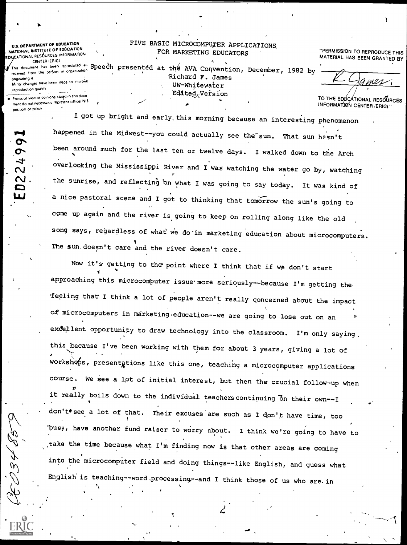**U.S. DEPARTMENT OF EDUCATION** NATIONAL INSTITUTE OF EDUCATION EDUCATIONAL RESOURCES INFORMATION CENTER (ERIC) received from the person or organization onainating it

position or policy

0224

سمبر<br>حم

## FIVE BASIC MICROCOMPUTER APPLICATIONS FOR MARKETING EDUCATORS

This document has been reproduced as Speech presented at the AVA Convention, December, 1982 by Richard F. James Minor changes have been made to improve UW-Whitewater reproduction quality Edited Version Points of view or opinions stated in this docul ment do not necessarily represent official NIE

"PERMISSION TO REPRODUCE THIS MATERIAL HAS BEEN GRANTED BY

TO THE EDUCATIONAL RESOURCES INFORMATION CENTER (ERIG)."

I got up bright and early this morning because an interesting phenomenon happened in the Midwest--you could actually see the sun. That sun hasn't been around much for the last ten or twelve days. I walked down to the Arch overlooking the Mississippi River and I was watching the water go by, watching the sunrise, and reflecting on what I was going to say today. It was kind of a nice pastoral scene and I got to thinking that tomorrow the sun's going to come up again and the river is going to keep on rolling along like the old song says, regardless of what we do in marketing education about microcomputers. The sun doesn't care and the river doesn't care.

Now it's getting to the point where I think that if we don't start approaching this microcomputer issue more seriously--because I'm getting the feeling that I think a lot of people aren't really concerned about the impact of microcomputers in marketing education--we are going to lose out on an exdellent opportunity to draw technology into the classroom. I'm only saying, this because I've been working with them for about 3 years, giving a lot of workshops, presentations like this one, teaching a microcomputer applications course. We see a lpt of initial interest, but then the crucial follow-up when it really boils down to the individual teachers continuing on their own--I don't see a lot of that. Their excuses are such as I don't have time, too busy, have another fund raiser to worry about. I think we're going to have to take the time because what I'm finding now is that other areas are coming into the microcomputer field and doing things--like English, and guess what English is teaching--word processing--and I think those of us who are in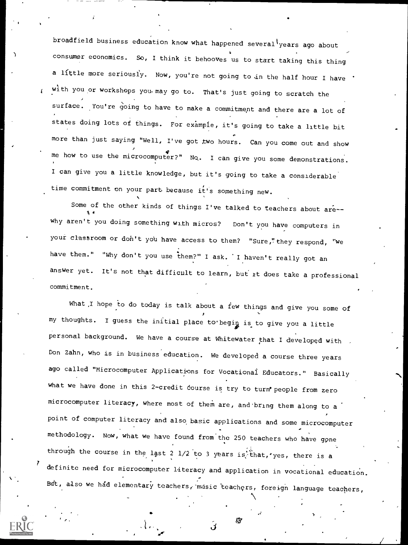broadfield business education know what happened several years ago about consumer economics. So, I think it behooves us to start taking this thing a little more seriously. Now, you're not going to in the half hour I have with you or workshops you may go to. That's just going to scratch the surface. You're going to have to make a commitment and there are a lot of states doing lots of things. For example, it's going to take a little bit more than just saying "Well, I've got two hours. Can you come out and show me how to use the microcomputer?" No. I can give you some demonstrations. I can give you a little knowledge, but it's going to take a considerable time commitment on your part because it's something new.

Some of the other kinds of things I've talked to teachers about are-why aren't you doing something with micros? Don't you have computers in your classroom or don't you have access to them? "Sure," they respond, "we have them." "Why don't you use them?" I ask. I haven't really got an answer yet. It's not that difficult to learn, but it does take a professional commitment.

What I hope to do today is talk about a few things and give you some of my thoughts. I guess the initial place to begin is to give you a little personal background. We have a course at Whitewater that I developed with , Don Zahn, who is in business education. We developed a course three years ago called "Microcomputer Applications for Vocationai Educators." Basically what we have done in this 2-credit course is try to turn people from zero microcomputer literacy, where most of them are, and bring them along to a point of computer literacy and also basic applications and some microcomputer methodology. Now, what we have found from'the 250 teachers who have gone through the course in the last 2  $1/2$  to 3 years is that, yes, there is a definite need for microcomputer literacy and application in vocational education. But, also we had elementary teachers, music teachers, foreign language teachers,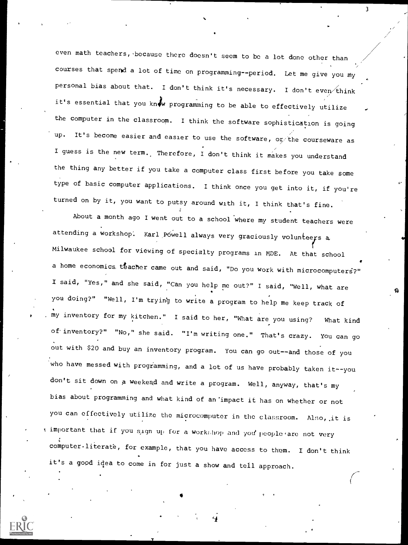even math teachers, because there doesn't seem to be a lot done other than courses that spend a lot of time on programming--period. Let me give you My personal bias about that. I don't think it's necessary. I don't even think it's essential that you know programming to be able to effectively utilize the computer in the classroom. I think the software sophistication is going up. It's become easier and easier to use the software, or the courseware as I guess is the new term. Therefore, I don't think it makes you understand the thing any better if you take a computer class first before you take some type of basic computer applications. I think once you get into it, if you're turned on by it, you want to putsy around with it, I think that's fine.

3

C.

About a month ago I went out to a school where my student teachers were attending a workshop. Karl Pówell always very graciously volunteers a Milwaukee school for viewing of specialty programs in MDE. At that school a home economics teacher came out and said, "Do you work with microcomputers?" I said, "Yes," and she said, "Can you help me out?" I said, "Well, what are you doing?" "Well, I'm tryirig to write a program to help me keep track of , my inventory for my kitchen." I said to her, "What are you using? What kind of inventory?" "No," she said. "I'm writing one." That's crazy. You can go out with \$20 and buy an inventory program. You can go out--and those of you who have messed with programming, and a lot of us have probably taken it--you don't sit down on a weekend and write a program. Well, anyway, that's my bias about programming and what kind of an'impact it has on whether or not you can effectively utilize the microcomputer in the classroom. Also, it is important that if you sign up for a workshop and you people are not very  $\overline{\text{computer}}\cdot\text{literate}$ , for example, that you have access to them. I don't think it's a good idea to come in for just a show and tell approach.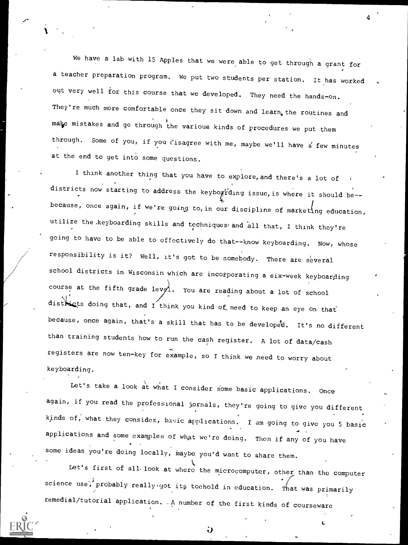We have a lab with 15 Apples that we were able to get through a grant for a teacher preparation program. We put two students per station. It has worked out very well for this course that we developed. They need the hands-on. They're much more comfortable once they sit down and learn, the routines and make mistakes and go through the various kinds of procedures we put them through. Some of you, if you cisagree with me, maybe we'll have a few minutes at the end to get into some questions.

4

I think another thing that you have to explore, and there's a lot of districts now starting to address the keybogrding issue, is where it should be-because, once again, if we're going to, in our discipline of marketing education, utilize the keyboarding skills and techniques and all that, I think they're going to have to be able to effectively do that--know keyboarding. Now, whose responsibility is it? Well, it's got to be somebody. There are several school districts in Wisconsin which are incorporating a six-week keyboarding course at the fifth grade levg1. You are reading about a lot of school districts doing that, and I think you kind of need to keep an eye on that because, once again, that's a skill that has to be developed. It's no different than training students how to run the cash register. A lot of data/cash registers are now ten-key for example, so I think we .need to worry about keyboarding.

Let's take a look at what I consider some basic applications. Once again, if you read the professional jornals, they're going to give you different kinds of, what they consider, basic applications. I am going to give you 5 basic applications and some examples of what we're doing. Then if any of you have some ideas you're doing locally, maybe you'd want to share them.

Let's first of all look at where the microcomputer, other than the computer science use, probably really.got its toehold in education. That was primarily remedial/tutorial application. .A number of the first kinds of courseware



 $\mathbf \cdot$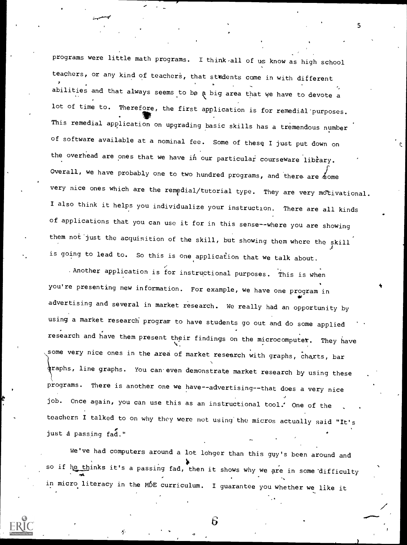programs were little math programs. I think all of us know as high school teachers, or any kind of teachers, that students come in with different abilities and that always seems to be a big area that we have to devote a lot of time to. Therefore, the first application is for remedial purposes. This remedial application on upgrading basic skills has a tremendous number of software available at a nominal fee. Some of these I just put down on the overhead are ones that we have in our particular courseware library. Overall, we have probably one to two hundred programs, and there are  $\measuredangle$ ome very nice ones which are the remedial/tutorial type. They are very motivational. I also think it helps you individualize your instruction. There are all kinds of applications that you can use it for in this sense--where you are showing them not just the acquisition of the skill, but showing them where the skill is going to lead to. So this is one application that we talk about.

.Another application is for instructional purposes. This is when you're presenting new information. For example, we have one program in advertising and several in market research. We really had an opportunity by using a market research' program to have students go out and do some applied research and have them present their findings on the microcomputer. They have some very nice ones in the area of market research with graphs, charts, bar \raphs, line graphs. You can.even demonstrate market research by using these programs. There is another one we have--advertising--that does a very nice job. Once again, you can use this as an instructional tool. One of the teachers I talked to on why they were not using the micros actually said "It's just a passing fad."

We've had computers around a lot lohger than this guy's been around and so if he thinks it's a passing fad, then it shows why we are in some difficulty in micro literacy in the MDE curriculum. I guarantee you whether we like it

6

5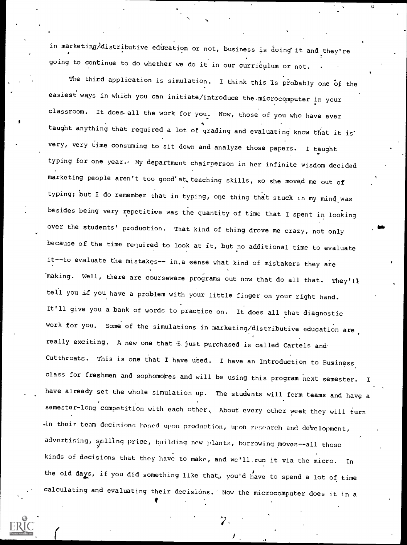in marketing/distributive education or not, business is doing it and they're going to continue to do whether we do it in our curriculum or not.

The third application is simulation. I think this is probably one of the easiest ways in which you can initiate/introduce the microcomputer in your classroom. It does all the work for you. Now, those of you who have ever taught anything that required a lot of grading and evaluating know that it is very, very time consuming to sit down and analyze those papers. I taught typing for one year. My department chairperson in her infinite wisdom decided marketing people aren't too good'at teaching skills, so she moved me out of typing; but I do remember that in typing, one thing that stuck in my mind was besides being very repetitive was the quantity of time that I spent in looking over the students' production. That kind of thing drove me crazy, not only because of the time required to look at ft, but no additional time to evaluate it--to evaluate the mistakes-- in.a sense what kind of mistakers they are making. Well, there are courseware programs out now that do all that. They'll tell you if you have a problem with your little finger on your right hand. It'll give you a bank of words to practice on. It does all that diagnostic work for you. Some of the simulations in marketing/distributive education are really exciting. A new one that  $\pm$  just purchased is called Cartels and Cutthroats. This is one that I have used. I have an Introduction to Business class for freshmen and sophomokes and will be using this program next semester. have already set the whole simulation up. The students will form teams and have a semester-long competition with each other. About every other week they will turn -in their team decisions based upon production, upon research and development, advertising, splling price, building now plants, borrowing moves--all those kinds of decisions that they have to make, and we'll.run it via the micro. In the old days, if you did something like that, you'd have to spend a lot of time calculating and evaluating their decisions.' Now the microcomputer does it in a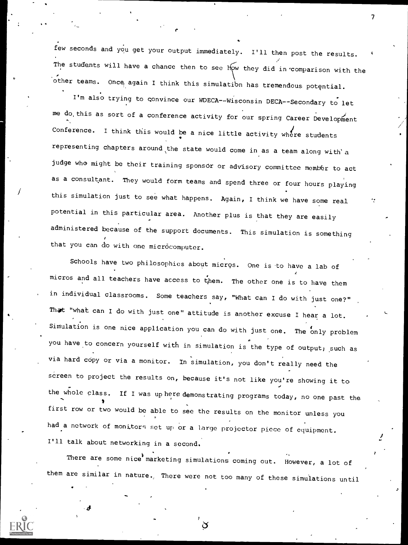few seconds and you get your output immediately. I'll then post the results. The students will have a chance then to see How they did in comparison with the other teams. Once, again I think this simulatibn has tremendous potqntial.

 $\mathcal{T}$  and  $\mathcal{T}$ 

I'm also trying to convince our WDECA--Wisconsin DECA--Secondary to let me do, this as sort of a conference activity for our spring Career Development Conference. I think this would be a nice little activity where students representing chapters around the state would come in as a team along with' a judge who might be their training sponsor or advisory committee member to act as a consultant. They would form teams and spend three or four hours playing this simulation just to see what happens. Again, I think we have some real potential in this particular area. Another plus is that they are easily administered because of the support documents. This simulation is something that you can do with one microcomputer.

Schools have two philosophies about micros. One is to have a lab of micros and all teachers have access to them. The other one is to have them in individual classrooms. Some teachers say, "What can I do with just one?" That "what can I do with just one" attitude is another excuse I hear a lot. Simulation is one nice application you can do with just one. The only problem you have to concern yourself with in simulation is the type of output; such as via hard copy or via a monitor. In simulation, you don't really need the screen to project the results on, because it's not like you're showing it to the whole class. If I was up here demonstrating programs today, no one past the first row or two would be able to see the results on the monitor unless you had a network of monitors set up or a large projector piece of equipment. I'll talk about networking in a second.

There are some nice marketing simulations coming out. However, a lot of them are similar in nature. There were not too many of these simulations until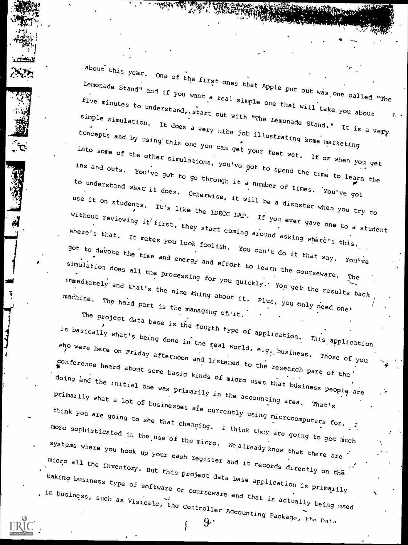about this year. One of the first ones that Apple put out was one. "as one called "The Lemonade Stand" and if you want a real simple one that will take you about the simple one that will take you about the simple one that will take you about the simple one that will take you about the simple one that will ta rive minutes to understand and the set and, start out with "The Lemonade Stand." It is a very. simple simulation. It does a very <sup>d very</sup> nice job illustra using this one you can get your feet wet. If or when you get simple simulation. It does a very nice job illustrating some marketing into some of the other simulary into some of the other simulations, you've got to spend the time to learn the to spend the time to learn the understand what it does out to you we got to spend the time to learn the understand what it does out to the second the second what  $\frac{1}{2}$ Otherwise, it will be a disaster when you try to to understand what it does. Otherw to understand what it does. Otherwise, it will be a disaster when you try to It's like the IDECC LAP. If you ever  $q_{ave}$  one <sup>gave</sup> one to a student without reviewin where's that. It makes you look foolish ... They around asking where's this, where's that. It makes you look foolish. You can't do it that way. You've got to devote the time and energy and effort to learn the courseware. The simulation does all the processing for you quickly. You get the results back immediately and that's the nice thing about it. Plus, you only need one' machine. The hard part is the managing of. it.

, و ايزود

rourth type of applicat **application** This application is basically what's being done in the real world, e.g. but<br>the real world, e.g. but e.g..business. Those of you who were here on Friday afterns afternoon and listened to the research  $r = \frac{c}{c}$  part of the conference heard about some basic kinds as kinds of micro uses that business business people are the state \* uoing and the initial one was primarily in the account: accounting area. That's doing and the initial one was primarily in the accounting area. susinesses are currently using microcom think you are going to see that changing. I think they are going to get much<br>more sophisticated in the use of the micro. We already know that there are<br>systems where you hook up your cash register and it records directly o more sophisticated in the use of the micro. We also systems where you hook up your cash reqister and the there are systems where you hook up your cash reqister up your cash register and it records directly on the state that there are the state of the state of the state of the state of the state of the state of the state of the state of the state of the state of the state of the s "LCro all the invento" taking business type of software software or courseware and that is actually being used<br>icalc, the Controller and that is actually being used  $\sim$  , and the set of  $\sim$ in business, such as Visicalc, the Controller Accounting  $9.4$  Accounting Package, the Data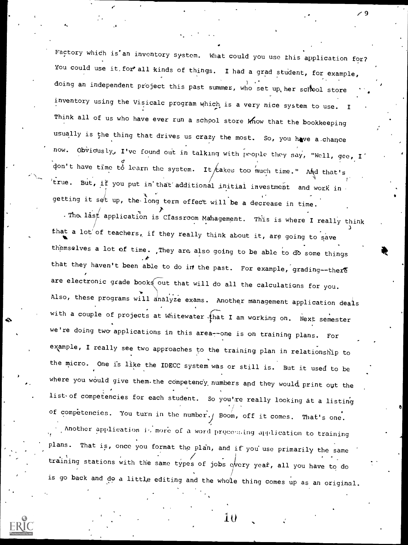Factory whidh is'an inventory system. What could you use this application for? You could use it for all kinds of things. I had a grad student, for example, doing an independent project this past summer, who set up her school store  $\cdots$ inventory using the Visicalc program which is a very nice system to use. Think all of us who have ever run a school store know that the bookkeeping usually is the thing that drives us crazy the most. So, you have a chance now. Obviously, I've found out in talking with people they say, "Well, gee, I don't have time to learn the system. It takes too much time." And that's  $\mathbf{r}^{\mathsf{T}}$  true. But, if you put in that additional initial investment and work in getting it set up, the long term up, the-long term effect will be a decrease in time.

./ 9

;

The last application is Classroom Mahagement. This is where I really think that a lot of teachers, if they really think about it, are going to save th'emselves a lot of time. ,They are, also going to be able to db some things that they haven't been able to do in the past. For example, grading--there are electronic grade books out that will do all the calculations for you. Also, these programs will analyze exams. Another management application deals with a couple of projects at Whitewater.  $f$ hat I am working on. Next semester we're doing two applications in this area--one is on training plans. For example, I really see two approaches to the training plan in relationship to the micro. One is like the IDECC system was or still is. But it used to be where you would give them-the competency numbers and they would print out the list of competencies for each student. So you're really looking at a listing of competencies. You turn in the number./ Boom, off it comes. That's one. Another application is more of a word processing application to training plans. That is, once you format the plan, and if you use primarily the same training stations with the same types of jobs  $e/very$  year, all you have to do is go back and do a little editing and the whole thing comes up as an original.



1 U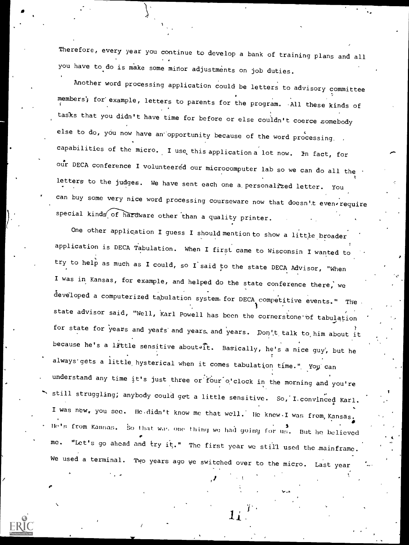Therefore, every year you continue to develop a bank of training plans and all you have to do is make some minor adjustments on job duties.

Another word processing application could be letters to advisory committee members'; for' example, letters to parents for the program. .All these kinds of tagks that you didn't have time for before or else couldn't coerce somebody else to do, you now have an' opportunity because of the word processing. capabilities of the micro. I use this application a lot now. In fact, for our DECA conference I volunteered our microcomputer lab so we can do all the letters to the judges. We have sent each one a personalized letter. You can buy some very nice word processing courseware now that doesn't evenrequire  $special$  kinds of hardware other than a quality printer.

One other application I guess I should mention to show a little broader application is DECA Tabulation. When I first came to Wisconsin I wanted to try to help as much as I could, so I said to the state DECA Advisor, "When I was in Kansas, for example, and helped do the state conference there, we developed a computerized tabulation system. for DECA competitive events." The state advisor said, "Well, Karl Powell has been the cornerstone of tabulation for state for years and years and years, and years. Don't talk to him about it because he's a little sensitive about. Basically, he's a nice guy, but he always' gets a little hysterical when it comes tabulation time." You can understand any time it's just three or four o'clock in the morning and you're still struggling; anybody could get a little sensitive. So, I.convinced Karl. I was new, you sec. He didn't know me that well. He knew I was from, Kansas. He's from Kansas. So that was one thing we had going for us. But he believed me. "Let's go ahead and try it." The first year we still used the mainframe. We used a terminal. Two years ago we switched over to the micro. Last year

./

 $11 \,$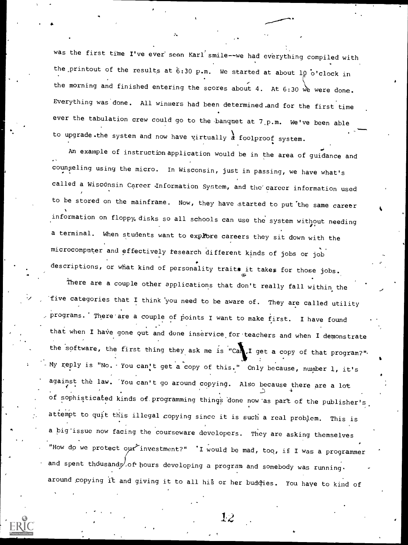was the first time I've ever seen Karl'smile--we had everything compiled with the printout of the results at  $6:30$  p.m. We started at about  $10$  o'clock in the morning and finished entering the scores about 4. At 6:30 we were done. Everything was done. All winners had been determined.and for the first time ever the tabulation crew could go to the banquet at 7 p.m. We've been able to upgrade.the system and now have virtually  $\frac{1}{d}$  foolproof system.

An example of instructionapplication would be in the area of guidance and counseling using the micro. In Wisconsin, just in passing, we have what's called a Wisconsin Career Information System, and the career information used to be stored on the mainframe. Now, they have started to put the same career information on floppy, disks so all schools can use the system without needing a terminal. When students want to explore careers they sit down with the microcomputer and effectively tesearch different kinds of jobs or job descriptions, or what kind of personality traits it takes for those jobs.

There are a couple other applications that don't really fall within the five categories that I think 'you need to be aware of. They are called utility programs. There are a couple of points I want to make first. I have found that when I have gone out and done inservice for teachers and when I demonstrate the software, the first thing they ask me is "Can.I get a copy of that program?". My reply is "No. You can't get a copy of this." Only because, number 1, it's against the law. You can't go around copying. Also because there are a lot of sophisticated kinds of programming thing's 'done now 'as part of the publisher's. attempt to quit this illegal copying since it is such a real problem. This is a big'issue now facing the courseware developers. They are asking themselves "How do we protect our investment?" 'I would be mad, too, if I was a programmer and spent thousands, of hours developing a program and somebody was running. around copying it and giving it to all his or her buddies. You have to kind of



I#

12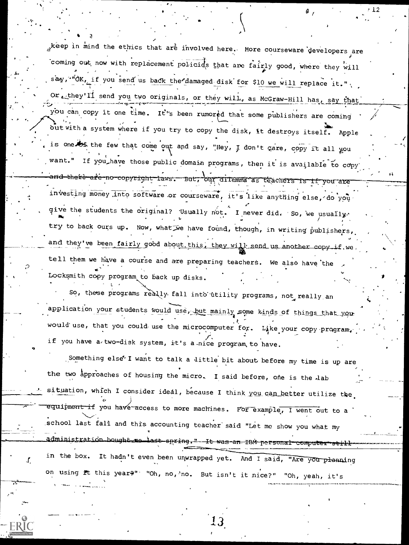teep in mind the ethics that are involved here. More courseware developers are coming out now with replacement policids that are fairly good, where they will say, "OK, if you send us back the damaged disk for \$10 we will replace it." Or they'll send you two originals, or they will, as McGraw-Hill has, say that you can copy it one time. It's been rumored that some publishers are coming out with a system where if you try to copy the disk, it destroys itself. Apple is one bf the few that come out and say, "Hey, I don't care, copy it all you want." If you have those public domain programs, then it is available to copy and-there are no copyright laws. But, our dilemma as trachers is if you are investing money into software or courseware, it's like anything else, do you give the students the original? Usually not. I never did. So, we usually. try to back ours up. Now, what we have found, though, in writing publishers, and they've been fairly good about this, they will send us another copy if we tell them we have a course and are preparing teachers. We also have the Locksmith copy program to back up disks.

So, these programs really fall into utility programs, not really an application your students would use, but mainly some kinds of things that your would use, that you could use the microcomputer for. Like your copy program, if you have a two-disk system, it's a nice program to have.

Something else<sup>t</sup> I want to talk a little bit about before my time is up are the two approaches of housing the micro. I said before, one is the lab situation, which I consider ideal, because I think you can better utilize the. equipment if you have access to more machines. For example, I went out to a school last fall and this accounting teacher said "Let me show you what my administration bought no last spring." It was an IBM personal computer still in the box. It hadn't even been unwrapped yet. And I said, "Are you planning on using it this year?" "Oh, no, no. But isn't it nice?" "Oh, yeah, it's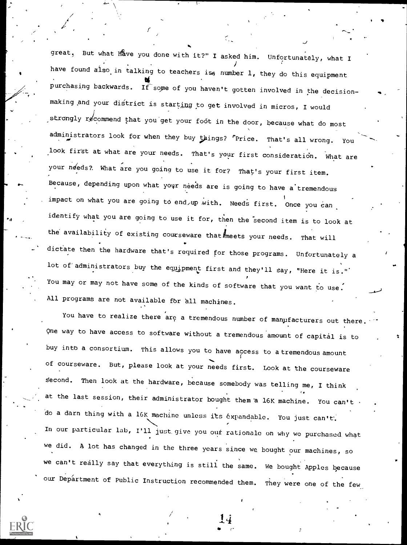great, But what have you done with it?" I asked him. Unfortunately, what I have found also in talking to teachers is, number 1, they do this equipment purchasing backwards. If some of you haven't gotten involved in the decisionmaking and your district is starting to get involved in micros, I would strongly recommend that you get your foot in the door, because what do most administrators look for when they buy things? "Price. That's all wrong. You look first at what are your needs. That's your first consideration. What are your needs? What are you going to use it for? That's your first item. Because, depending upon what your needs are is going to have a tremendous . impact on what you are going to end, up with. Needs first. Once you can identify what you are going to use it for, then the second item is to look at the availability of existing courseware that  $k$  meets your needs. That will dictate then the hardware that's required for those programs. Unfortunately a lot of administrators buy the equipment first and they'll say, "Here it is." You may or may not have some of the kinds of software that you want to use. All programs are not available for all machines.

I 'I' 'I' 'I' 'I' 'I'

You have to realize there are a tremendous number of manufacturers out there One way to have access to software without a tremendous amount of capital is to buy into a consortium. This allows you to have access to a tremendous amount of courseware. But, please look at your needs first. Look at the courseware Second. Then look at the hardware, because somebody was telling me, I think at the last session, their administrator bought them 'a 16K machine. You can't do a darn thing with a 16K machine unless its 6xpandable. You just can't'. In our particular lab, I'll just give you our rationale on why we purchased what we did. A lot has changed in the three years since we bought our machines, so we can't really say that everything is still the same. We bought Apples because our Department of Public Instruction recommended them. They were one of the few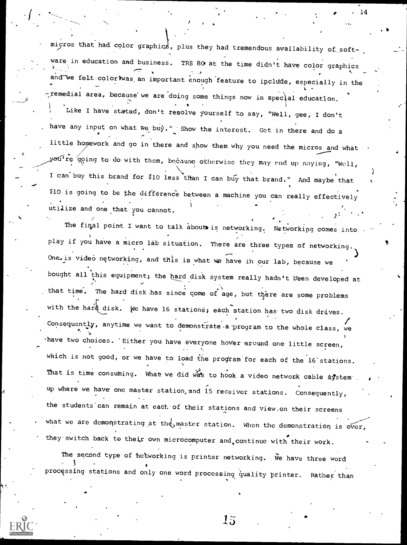I can buy this brand for \$10 less than I can buy that brand." And maybe that micros that had color graphics, plus they had tremendous availability of software in education and business. TRS 80 at the time didn't have color graphics and we felt coloriwas, an important enough feature to include, especially in the  $\tau$ remedial area, because we are doing some things now in special education. . . , Like I have stated, don't resolve yourself to say, "Well, gee, I don't have any input on what we buy." Show the interest. Get in there and do a little homework and go in there and show them why you need the micros and what yeu<sup>t</sup>re going to do with them, because otherwise they may end up saying, "Well, \$10 is going to be the difference between a machine you can really effectively utilize and one that you cannot.

 $\bullet \quad \cdot \quad 14$ 

The final point I want to talk about is networking. Networking comes into play if you have a micro lab situation. There are three types of networking. When e are three types One is video networking, and this is what we have in our lab, because we bought all this equipment; the hard disk system really hadn't been developed at that time. The hard disk has since come of age, but there are some problems with the hard disk. We have 16 stations; each station has two disk drives. Consequently, anytime we want to demonstrate a program to the whole class, we have two choices. 'Either you have everyone hover around one little screen, which is not good, or we have to load the program for each of the  $16$  stations. That is time consuming. What we did was to hook a video network cable system up where we have one master station,and 15 receiver stations. Consequently, the students'can remain at each of their stations and view.on their screens what we are demonstrating at the master station. When the demonstration is over they switch back to their own microcomputer and continue with their work.

The second type of hetworking is printer networking. We have three word processing stations and only one word processing quality printer. Rather than



 $15$